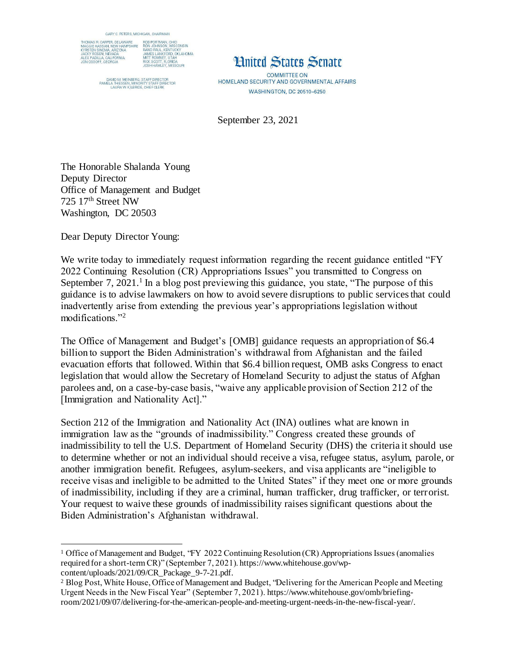

DAVID M. WEINBERG, STAFF DIRECTOR<br>PAMELA THIESSEN, MINORITY STAFF DIRECTOR<br>LAURA W. KILBRIDE, CHIEF CLERK

## **Hnited States Senate**

**COMMITTEE ON** HOMELAND SECURITY AND GOVERNMENTAL AFFAIRS **WASHINGTON, DC 20510-6250** 

September 23, 2021

The Honorable Shalanda Young Deputy Director Office of Management and Budget 725 17th Street NW Washington, DC 20503

Dear Deputy Director Young:

 $\overline{a}$ 

We write today to immediately request information regarding the recent guidance entitled "FY" 2022 Continuing Resolution (CR) Appropriations Issues" you transmitted to Congress on September  $7, 2021$ .<sup>1</sup> In a blog post previewing this guidance, you state, "The purpose of this guidance is to advise lawmakers on how to avoid severe disruptions to public services that could inadvertently arise from extending the previous year's appropriations legislation without modifications."<sup>2</sup>

The Office of Management and Budget's [OMB] guidance requests an appropriation of \$6.4 billion to support the Biden Administration's withdrawal from Afghanistan and the failed evacuation efforts that followed. Within that \$6.4 billion request, OMB asks Congress to enact legislation that would allow the Secretary of Homeland Security to adjust the status of Afghan parolees and, on a case-by-case basis, "waive any applicable provision of Section 212 of the [Immigration and Nationality Act]."

Section 212 of the Immigration and Nationality Act (INA) outlines what are known in immigration law as the "grounds of inadmissibility." Congress created these grounds of inadmissibility to tell the U.S. Department of Homeland Security (DHS) the criteria it should use to determine whether or not an individual should receive a visa, refugee status, asylum, parole, or another immigration benefit. Refugees, asylum-seekers, and visa applicants are "ineligible to receive visas and ineligible to be admitted to the United States" if they meet one or more grounds of inadmissibility, including if they are a criminal, human trafficker, drug trafficker, or terrorist. Your request to waive these grounds of inadmissibility raises significant questions about the Biden Administration's Afghanistan withdrawal.

<sup>1</sup> Office of Management and Budget, "FY 2022 Continuing Resolution (CR) Appropriations Issues (anomalies required for a short-term CR)" (September 7, 2021). https://www.whitehouse.gov/wpcontent/uploads/2021/09/CR\_Package\_9-7-21.pdf.

<sup>2</sup> Blog Post, White House, Office of Management and Budget, "Delivering for the American People and Meeting Urgent Needs in the New Fiscal Year" (September 7, 2021). https://www.whitehouse.gov/omb/briefingroom/2021/09/07/delivering-for-the-american-people-and-meeting-urgent-needs-in-the-new-fiscal-year/.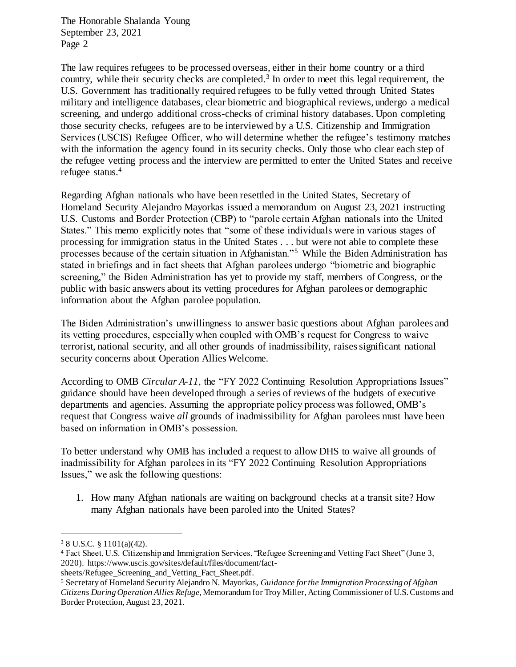The Honorable Shalanda Young September 23, 2021 Page 2

The law requires refugees to be processed overseas, either in their home country or a third country, while their security checks are completed.<sup>3</sup> In order to meet this legal requirement, the U.S. Government has traditionally required refugees to be fully vetted through United States military and intelligence databases, clear biometric and biographical reviews, undergo a medical screening, and undergo additional cross-checks of criminal history databases. Upon completing those security checks, refugees are to be interviewed by a U.S. Citizenship and Immigration Services (USCIS) Refugee Officer, who will determine whether the refugee's testimony matches with the information the agency found in its security checks. Only those who clear each step of the refugee vetting process and the interview are permitted to enter the United States and receive refugee status.<sup>4</sup>

Regarding Afghan nationals who have been resettled in the United States, Secretary of Homeland Security Alejandro Mayorkas issued a memorandum on August 23, 2021 instructing U.S. Customs and Border Protection (CBP) to "parole certain Afghan nationals into the United States." This memo explicitly notes that "some of these individuals were in various stages of processing for immigration status in the United States . . . but were not able to complete these processes because of the certain situation in Afghanistan."<sup>5</sup> While the Biden Administration has stated in briefings and in fact sheets that Afghan parolees undergo "biometric and biographic screening," the Biden Administration has yet to provide my staff, members of Congress, or the public with basic answers about its vetting procedures for Afghan parolees or demographic information about the Afghan parolee population.

The Biden Administration's unwillingness to answer basic questions about Afghan parolees and its vetting procedures, especially when coupled with OMB's request for Congress to waive terrorist, national security, and all other grounds of inadmissibility, raises significant national security concerns about Operation Allies Welcome.

According to OMB *Circular A-11*, the "FY 2022 Continuing Resolution Appropriations Issues" guidance should have been developed through a series of reviews of the budgets of executive departments and agencies. Assuming the appropriate policy process was followed, OMB's request that Congress waive *all* grounds of inadmissibility for Afghan parolees must have been based on information in OMB's possession.

To better understand why OMB has included a request to allow DHS to waive all grounds of inadmissibility for Afghan parolees in its "FY 2022 Continuing Resolution Appropriations Issues," we ask the following questions:

1. How many Afghan nationals are waiting on background checks at a transit site? How many Afghan nationals have been paroled into the United States?

 $\overline{a}$ 

sheets/Refugee\_Screening\_and\_Vetting\_Fact\_Sheet.pdf.

<sup>3</sup> 8 U.S.C. § 1101(a)(42).

<sup>4</sup> Fact Sheet, U.S. Citizenship and Immigration Services, "Refugee Screening and Vetting Fact Sheet" (June 3, 2020). https://www.uscis.gov/sites/default/files/document/fact-

<sup>5</sup> Secretary of Homeland Security Alejandro N. Mayorkas, *Guidance for the Immigration Processing of Afghan Citizens During Operation Allies Refuge*, Memorandum for Troy Miller, Acting Commissioner of U.S. Customs and Border Protection, August 23, 2021.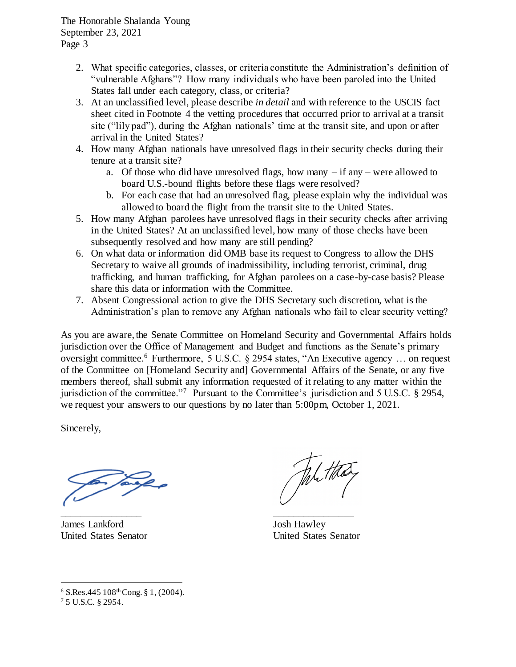- 2. What specific categories, classes, or criteria constitute the Administration's definition of "vulnerable Afghans"? How many individuals who have been paroled into the United States fall under each category, class, or criteria?
- 3. At an unclassified level, please describe *in detail* and with reference to the USCIS fact sheet cited in Footnote 4 the vetting procedures that occurred prior to arrival at a transit site ("lily pad"), during the Afghan nationals' time at the transit site, and upon or after arrival in the United States?
- 4. How many Afghan nationals have unresolved flags in their security checks during their tenure at a transit site?
	- a. Of those who did have unresolved flags, how many if any were allowed to board U.S.-bound flights before these flags were resolved?
	- b. For each case that had an unresolved flag, please explain why the individual was allowed to board the flight from the transit site to the United States.
- 5. How many Afghan parolees have unresolved flags in their security checks after arriving in the United States? At an unclassified level, how many of those checks have been subsequently resolved and how many are still pending?
- 6. On what data or information did OMB base its request to Congress to allow the DHS Secretary to waive all grounds of inadmissibility, including terrorist, criminal, drug trafficking, and human trafficking, for Afghan parolees on a case-by-case basis? Please share this data or information with the Committee.
- 7. Absent Congressional action to give the DHS Secretary such discretion, what is the Administration's plan to remove any Afghan nationals who fail to clear security vetting?

As you are aware, the Senate Committee on Homeland Security and Governmental Affairs holds jurisdiction over the Office of Management and Budget and functions as the Senate's primary oversight committee.<sup>6</sup> Furthermore, 5 U.S.C. § 2954 states, "An Executive agency ... on request of the Committee on [Homeland Security and] Governmental Affairs of the Senate, or any five members thereof, shall submit any information requested of it relating to any matter within the jurisdiction of the committee."<sup>7</sup> Pursuant to the Committee's jurisdiction and 5 U.S.C. § 2954, we request your answers to our questions by no later than 5:00pm, October 1, 2021.

Sincerely,

\_\_\_\_\_\_\_\_\_\_\_\_\_\_\_\_

James Lankford United States Senator

Josh Hawley United States Senator

\_\_\_\_\_\_\_\_\_\_\_\_\_\_\_\_

 $\overline{a}$ 

 $6$  S.Res.445  $108$ <sup>th</sup> Cong. § 1, (2004).

<sup>7</sup> 5 U.S.C. § 2954.